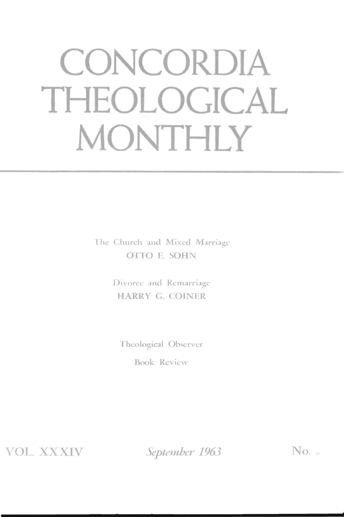# **CONCORDIA THEOLOGICAL MONTHLY**

The Church and Mixed Marriage OTfO E. SOHN

> Divorce and Remarriage HARRY G. COINER

Theological Observer'

Book Review

'VOL. XXXIV

*September 1963* No. 2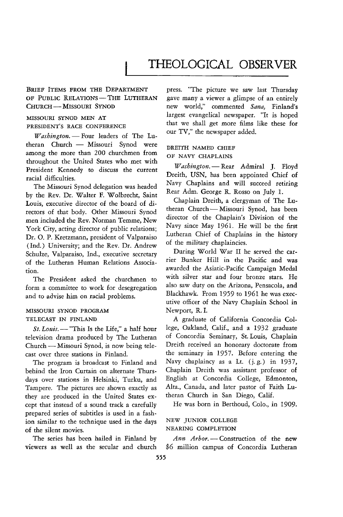## THEOLOGICAL OBSERVER

#### BRIEF ITEMS FROM THE DEPARTMENT OF PUBLIC RELATIONS - THE LUTHERAN CHURCH - MISSOURI SYNOD

### MISSOURI SYNOD MEN AT PRESIDENT'S RACE CONFERENCE

*Washington.* - Four leaders of The Lutheran Church - Missouri Synod were among the more than 200 churchmen from throughout the United States who met with President Kennedy to discuss the current racial difficulties.

The Missouri Synod delegation was headed by the Rev. Dr. Walter F. Wolbrecht, Saint Louis, executive director of the board of directors of that body. Other Missouri Synod men included the Rev. Norman Temme, New York City, acting director of public relations; Dr. O. P. Kretzmann, president of Valparaiso (Ind.) University; and the Rev. Dr. Andrew Schulze, Valparaiso, Ind., executive secretary of the Lutheran Human Relations Association.

The President asked the churchmen to form a committee to work for desegregation and to advise him on racial problems.

#### MISSOURI SYNOD PROGRAM TELECAST IN FINLAND

*St. Louis.* - "This Is the Life," a half hour television drama produced by The Lutheran Church - Missouri Synod, is now being telecast over three stations in Finland.

The program is broadcast to Finland and behind the Iron Curtain on alternate Thursdays over stations in Helsinki, Turku, and Tampere. The pictures are shown exactly as they are produced in the United States except that instead of a sound track a carefully prepared series of subtitles *is* used in a fashion similar to the technique used in the days of the silent movies.

The series has been hailed in Finland by viewers as well as the secular and church press. "The picture we saw last Thursday gave many a viewer a glimpse of an entirely new world," commented *Sana,* Finland's largest evangelical newspaper. "It is hoped that we shall get more films like these for our TV," the newspaper added.

#### DREITH NAMED CHIEF OF NAVY CHAPLAINS

*Washington.* - Rear Admiral J. Floyd Dreith, USN, has been appointed Chief of Navy Chaplains and will succeed retiring Rear Adm. George R. Rosso on July 1.

Chaplain Dreith, a clergyman of The Lutheran Church - Missouri Synod, has been director of the Chaplain's Division of the Navy since May 1961. He will be the first Lutheran Chief of Chaplains in the history of the military chaplaincies.

During World War II he served the carrier Bunker Hill in the Pacific and was awarded the Asiatic-Pacific Campaign Medal with silver star and four bronze stars. He also saw duty on the Arizona, Pensacola, and Blackhawk. From 1959 to 1961 he was executive officer of the Navy Chaplain School in Newport, R. I.

A graduate of California Concordia College, Oakland, Calif., and a 1932 graduate of Concordia Seminary, St. Louis, Chaplain Dreith received an honorary doctorate from the seminary in 1957. Before entering the Navy chaplaincy as a Lt. (j.g.) in 1937, Chaplain Dreith was assistant professor of English at Concordia College, Edmonton, Alta., Canada, and later pastor of Faith Lutheran Church in San Diego, Calif.

He was born in Berthoud, Colo., in 1909.

#### NEW JUNIOR COLLEGE NEARING COMPLETION

Ann Arbor. - Construction of the new \$6 million campus of Concordia Lutheran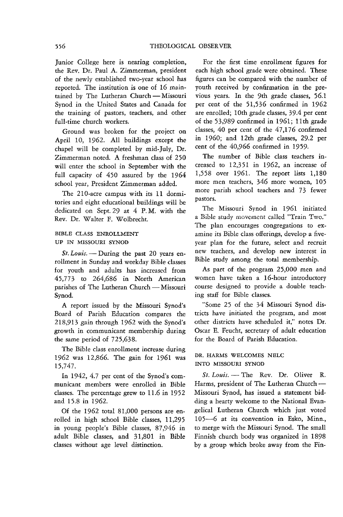Junior College here is nearing completion, the Rev. Dr. Paul A. Zimmerman, president of the newly established two-year school has reported. The institution is one of 16 maintained by The Lutheran Church - Missouri Synod in the United States and Canada for the training of pastors, teachers, and other full-time church workers.

Ground was broken for the project on April 10, 1962. All buildings except the chapel will be completed by mid-July, Dr. Zimmerman noted. A freshman class of 250 will enter the school in September with the full capacity of 450 assured by the 1964 school year, President Zimmerman added.

The 210-acre campus with its 11 dormitories and eight educational buildings will be dedicated on Sept. 29 at 4 P. M. with the Rev. Dr. Walter F. Wolbrecht.

#### BIBLE CLASS ENROLLMENT UP IN MISSOURI SYNOD

St. Louis. - During the past 20 years enrollment in Sunday and weekday Bible classes for youth and adults has increased from 45,773 to 264,686 in North American parishes of The Lutheran Church - Missouri Synod.

A report issued by the Missouti Synod's Board of Parish Education compares the 218,913 gain through 1962 with the Synod's growth in communicant membership during the same period of 725,638.

The Bible class enrollment increase during 1962 was 12,866. The gain for 1961 was 15,747.

In 1942, 4.7 per cent of the Synod's communicant members were enrolled in Bible classes. The percentage grew to 11.6 in 1952 and 15.8 in 1962.

Of the 1962 total 81,000 persons are enrolled in high school Bible classes, 11,295 in young people's Bible classes, 87,946 in adult Bible classes, and 31,801 in Bible classes without age level distinction.

For the first time enrollment figures for each high school grade were obtained. These figures can be compared with the number of youth received by confirmation in the previous years. In the 9th grade classes, 56.1 per cent of the 51,536 confirmed in 1962 are enrolled; 10th grade classes, 39.4 per cent of the 53,989 confirmed in 1961; 11th grade classes, 40 per cent of the 47,176 confirmed in 1960; and 12th grade classes, 29.2 per cent of the 40,966 confirmed in 1959.

The number of Bible class teachers increased to 12,351 in 1962, an increase of 1,558 over 1961. The report lists 1,180 more men teachers, 346 more women, 105 more parish school teachers and 73 fewer pastors.

The Missouri Synod in 1961 initiated a Bible study movement called "Train Two." The plan encoutages congregations to examine its Bible class offerings, develop a fiveyear plan for the future, select and recruit new teachers, and develop new interest in Bible study among the total membership.

As part of the program 25,000 men and women have taken a 16-hout introductory course designed to provide a double teaching staff for Bible classes.

"Some 25 of the 34 Missouri Synod districts have initiated the program, and most other districts have scheduled it," notes Dr. Oscar E. Feucht, secretary of adult education for the Board of Parish Education.

#### DR. HARMS WELCOMES NELC INTO MISSOURI SYNOD

*St. Louis.* - The Rev. Dr. Oliver R. Harms, president of The Lutheran Church-Missouri Synod, has issued a statement bidding a hearty welcome to the National Evangelical Lutheran Church which just voted 105-6 at its convention in Esko, Minn., to merge with the Missouti Synod. The small Finnish church body was organized in 1898 by a group which broke away from the Fin-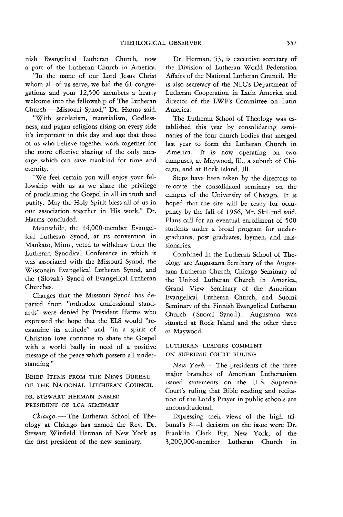nish Evangelical Lutheran Church, now a part of the Lutheran Church in America.

"In the name of our Lord Jesus Christ whom all of us serve, we bid the 61 congregations and your 12,500 members a hearty welcome into the fellowship of The Lutheran Church - Missouri Synod," Dr. Harms said.

"With secularism, materialism, Godlessness, and pagan religions rising on every side it's important in this day and age that those of us who believe together work together for the more effective sharing of the only message which can save mankind for time and eternity.

"We feel certain you will enjoy your fellowship with us as we share the privilege of proclaiming the Gospel in all its truth and purity. May the Holy Spirit bless all of us in our association together in His work," Dr. Harms concluded.

Meanwhile, the 14,OOO-member Evangelical Lutheran Synod, at its convention in Mankato, Minn., voted to withdraw from the Lutheran Synodical Conference in which it was associated with the Missouri Synod, the Wisconsin Evangelical Lutheran Synod, and the (Slovak) Synod of Evangelical Lutheran Churches.

Charges that the Missouri Synod has departed from "orthodox confessional standards" were denied by President Harms who expressed the hope that the ELS would "reexamine its attitude" and "in a spirit of Christian love continue to share the Gospel with a world badly in need of a positive message of the peace which passeth all understanding."

BRIEF ITEMS FROM THE NEWS BUREAU OF THE NATIONAL LUTHERAN COUNCIL

#### DR. STEWART HERMAN NAMED PRESIDENT OF LCA SEMINARY

*Chicago.* - The Lutheran School of Theology at Chicago has named the Rev. Dr. Stewart Winfield Herman of New York as the first president of the new seminary.

Dr. Herman, 53, is executive secretary of the Division of Lutheran World Federation Affairs of the National Lutheran Council. He is also secretary of the NLC's Department of Lutheran Cooperation in Latin America and director of the LWF's Committee on Latin America.

The Lutheran School of Theology was established this year by consolidating seminaries of the four church bodies that merged last year to form the Lutheran Church in America. It is now operating on two campuses, at Maywood, Ill., a suburb of Chicago, and at Rock Island, Ill.

Steps have been taken by the directors to relocate the consolidated seminary on the campus of the University of Chicago. It is hoped that the site will be ready for occupancy by the fall of 1966, Mr. Skillrud said. Plans call for an eventual enrollment of 500 students under a broad program for undergraduates, post graduates, laymen, and missionaries.

Combined in the Lutheran School of Theology are Augustana Seminary of the Augustana Lutheran Church, Chicago Seminary of the United Lutheran Church in America, Grand View Seminary of the American Evangelical Lutheran Church, and Suomi Seminary of the Finnish Evangelical Lutheran Church (Suomi Synod) . Augustana was situated at Rock Island and the other three at Maywood.

#### LUTHERAN LEADERS COMMENT ON SUPREME COURT RULING

New York. - The presidents of the three major branches of American Lutheranism issued statements on the U. S. Supreme Court's ruling that Bible reading and recitation of the Lord's Prayer in public schools are unconstitutional.

Expressing their views of the high tribunal's 8-1 decision on the issue were Dr. Franklin Clark Fry, New York, of the 3,200,000-member Lutheran Church in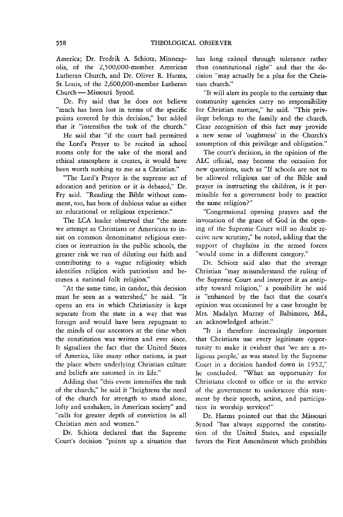America; Dr. Fredrik A. Schiotz, Minneapolis, of the 2,500,OOO-member American Lutheran Church, and Dr. Oliver R. Harms, St. Louis, of the 2,600,OOO-member Lutheran Church - Missouri Synod.

Dr. Fry said that he does not believe "much has been lost in terms of the specific points covered by this decision," but added that it "intensifies the task of the church."

He said that "if the court had permitted the Lord's Prayer to be recited in school rooms only for the sake of the moral and ethical atmosphere it creates, it would have been worth nothing to me as a Christian."

"The Lord's Prayer *is* the supreme act of adoration and petition or it is debased," Dr. Fry said. "Reading the Bible without comment, too, has been of dubious value as either an educational or religious experience."

The LCA leader observed that "the more we attempt as Christians or Americans to insist on common denominator religious exercises or instruction in the public schools, the greater risk we run of diluting our faith and contributing to a vague religiosity which identifies religion with patriotism and becomes a national folk religion."

"At the same time, in candor, this decision must be seen as a watershed," he said. "It opens an era in which Christianity is kept separate from the state in a way that was foreign and would have been repugnant to the minds of our ancestors at the time when the constitution was written and ever since. It signalizes the fact that the United States of America, like many other nations, is past the place where underlying Christian culture and beliefs are assumed in its life."

Adding that "this event intensifies the task of the church," he said it "heightens the need of the church for strength to stand alone, lofty and unshaken, in American society" and "calls for greater depth of conviction in all Christian men and women."

Dr. Schiotz declared that the Supreme Court's decision "points up a situation that has long existed through tolerance rather than constitutional right" and that the decision "may actually be a plus for the Christian church."

"It will alert its people to the certainty that community agencies carry no responsibility for Christian nurture," he said. "This privilege belongs to the family and the church. Clear recognition of this fact may provide a new sense of 'oughtness' in the Church's assumption of *this* privilege and obligation."

The court's decision, in the opinion of the ALC official, may become the occasion for new questions, such as "If schools are not to be allowed religious use of the Bible and prayer in instructing the children, is it permissible for a government body to practice the same religion?"

"Congressional opening prayers and the invocation of the grace of God in the opening of the Supreme Court will no doubt receive new scrutiny," he noted, adding that the support of chaplains in the armed forces "would come in a different category."

Dr. Schiotz said also that the average Christian "may misunderstand the ruling of the Supreme Court and interpret it as antipathy toward religion," a possibility he said is "enhanced by the fact that the court's opinion was occasioned by a case brought by Mrs. Madalyn Murray of Baltimore, Md., an acknowledged atheist."

"It is therefore increasingly important that Christians use every legitimate opportunity to make it evident that 'we are a religious people,' as was stated by the Supreme Court in a decision handed down in 1952," he concluded. "What an opportunity for Christians elected to office or in the service of the government to underscore this statement by their speech, action, and participation in worship services!"

Dr. Harms pointed out that the Missouri Synod "has always supported the constitution of the United States, and especially favors the First Amendment which prohibits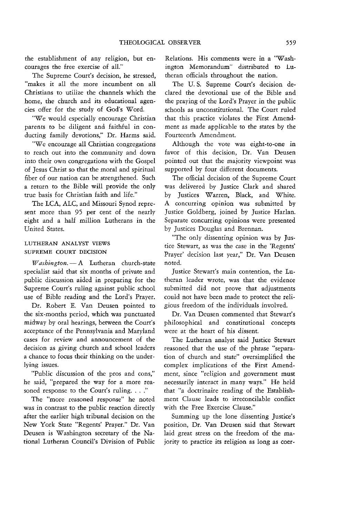the establishment of any religion, but encourages the free exercise of ali."

The Supreme Court's decision, he stressed, "makes it all the more incumbent on all Christians to utilize the channels which the home, the church and its educational agencies offer for the study of God's Word.

"We would especially encourage Christian parents to be diligent and faithful in conducting family devotions," Dr. Harms said.

"We encourage all Christian congregations to reach out into the community and down into their own congregations with the Gospel of Jesus Christ so that the moral and spiritual fiber of our nation can be strengthened. Such a return to the Bible will provide the only true basis for Christian faith and life."

The LCA, ALC, and Missouri Synod represent more than 95 per cent of the nearly eight and a half million Lutherans in the United States.

#### LUTHERAN ANALYST VIEWS SUPREME COURT DECISION

Washington. - A Lutheran church-state specialist said that six months of private and public discussion aided in preparing for the Supreme Court's ruling against public school use of Bible reading and the Lord's Prayer.

Dr. Robert E. Van Deusen pointed to the six-months period, which was punctuated midway by oral hearings, between the Court's acceptance of the Pennsylvania and Maryland cases for review and announcement of the decision as giving church and school leaders a chance to focus their thinking on the underlying issues.

"Public discussion of the pros and cons," he said, "prepared the way for a more reasoned response to the Court's ruling...."

The "more reasoned response" he noted was in contrast to the public reaction directly after the earlier high tribunal decision on the New York State "Regents' Prayer." Dr. Van Deusen is Washington secretary of the National Lutheran Council's Division of Public Relations. His comments were in a "Washington Memorandum" distributed to Lutheran officials throughout the nation.

The U. S. Supreme Court's decision declared the devotional use of the Bible and the praying of the Lord's Prayer in the public schools as unconstitutional. The Court ruled that this practice violates the First Amendment as made applicable to the states by the Fourteenth Amendment.

Although the vote was eight-to-one in favor of this decision, Dr. Van Deusen pointed out that the majority viewpoint was supported by four different documents.

The official decision of the Supreme Court was delivered by Justice Clark and shared by Justices Warren, Black, and White. A concurring opinion was submitted by Justice Goldberg, ioined by Justice Harlan. Separate concurring opinions were presented by Justices Douglas and Brennan.

"The only dissenting opinion was by Justice Stewart, as was the case in the 'Regents' Prayer' decision last year," Dr. Van Deusen noted.

Justice Stewart's main contention, the Lutheran leader wrote, was that the evidence submitted did not prove that adjustments could not have been made to protect the religious freedom of the individuals involved.

Dr. Van Deusen commented that Stewart's philosophical and constitutional concepts were at the heart of his dissent.

The Lutheran analyst said Justice Stewart reasoned that the use of the phrase "separation of church and state" oversimplified the complex implications of the First Amendment, since "religion and government must necessarily interact in many ways." He held that "a doctrinaire reading of the Establishment Clause leads to irreconcilable conflict with the Free Exercise Clause."

Summing up the lone dissenting Justice's position, Dr. Van Deusen said that Stewart laid great stress on the freedom of the majority to practice its religion as long as coer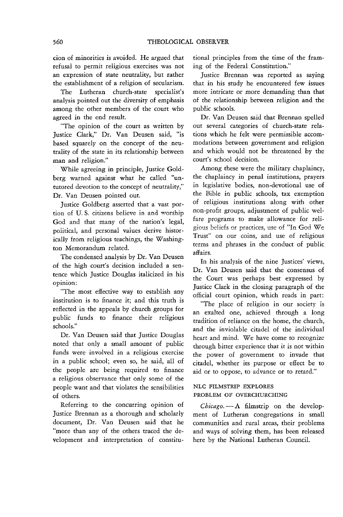cion of minorities is avoided. He argued that refusal to permit religious exercises was not an expression of state neutrality, but rather the establishment of a religion of secularism.

The Lutheran church-state specialist's analysis pointed out the diversity of emphasis among the other members of the court who agreed in the end result.

"The opinion of the court as written by Justice Clark," Dr. Van Deusen said, "is based squarely on the concept of the neutrality of the state in its relationship between man and religion."

While agreeing in principle, Justice Goldberg warned against what he called "untutored devotion to the concept of neutrality," Dr. Van Deusen pointed out.

Justice Goldberg asserted that a vast portion of U. S. citizens believe in and worship God and that many of the nation's legal, political, and personal values derive historically from religious teachings, the Washington Memorandum related.

The condensed analysis by Dr. Van Deusen of the high court's decision included a sentence which Justice Douglas italicized in his opinion:

"The most effective way to establish any institution is to finance it; and this truth is reflected in the appeals by church groups for public funds to finance their religious schools."

Dr. Van Deusen said that Justice Douglas noted that only a small amount of public funds were involved in a religious exercise in a public school; even so, he said, all of the people are being required to finance a religious observance that only some of the people want and that violates the sensibilities of others.

Referring to the concurring opinion of Justice Brennan as a thorough and scholarly document, Dr. Van Deusen said that he "more than any of the others traced the development and interpretation of constitutional principles from the time of the framing of the Federal Constitution."

Justice Brennan was reported as saying that in his study he encountered few issues more intricate or more demanding than that of the relationship between religion and the public schools.

Dr. Van Deusen said that Brennan spelled out several categories of church-state relations which he felt were permissible accommodations between government and religion and which would not be threatened by the court's school decision.

Among these were the military chaplaincy, the chaplaincy in penal institutions, prayers in legislative bodies, non-devotional use of the Bible in public schools, tax exemption of religious institutions along with other non-profit groups, adjustment of public welfare programs to make allowance for religious beliefs or practices, use of "In God We Trust" on our coins, and use of religious terms and phrases in the conduct of public affairs.

In his analysis of the nine Justices' views, Dr. Van Deusen said that the consensus of the Court was perhaps best expressed by Justice Clark in the closing paragraph of the official court opinion, which reads in part:

"The place of religion in our society is an exalted one, achieved through a long tradition of reliance on the home, the church, and the inviolable citadel of the individual heart and mind. We have come to recognize through bitter experience that it is not within the power of government to invade that citadel, whether its purpose or effect be to aid or to oppose, to advance or to retard."

#### NLC FILMSTRIP EXPLORES PROBLEM OF OVERCHURCHING

*Chicago.* - A filmstrip on the development of Lutheran congregations in small communities and rural areas, their problems and ways of solving them, has been released here by the National Lutheran Council.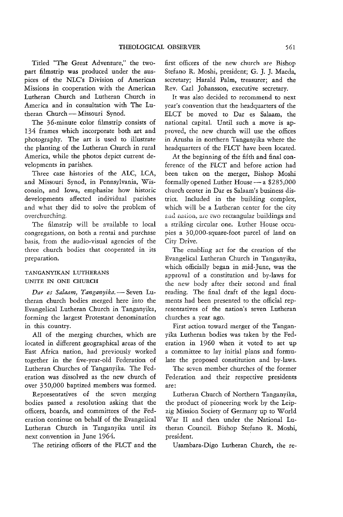Titled "The Great Adventure," the twopart filmstrip was produced under the auspices of the NLC's Division of American Missions in cooperation with the American Lutheran Church and Lutheran Church in America and in consultation with The Lutheran Church - Missouri Synod.

The 36-minute color filmstrip consists of 134 frames which incorporate both art and photography. The art is used to illustrate the planting of the Lutheran Church in rural America, while the photos depict current developments in parishes.

Three case histories of the ALC, LCA, and Missouri Synod, in Pennsylvania, Wisconsin, and Iowa, emphasize how historic developments affected individual parishes and what they did to solve the problem of overchurching.

The filmstrip will be available to local congregations, on both a rental and purchase basis, from the audio-visual agencies of the three church bodies that cooperated in its preparation.

#### TANGANYIKAN LUTHERANS UNITE IN ONE CHURCH

Dar es Salaam, Tanganyika. - Seven Lutheran church bodies merged here into the Evangelical Lutheran Church in Tanganyika, forming the largest Protestant denomination in this country.

All of the merging churches, which are located in different geographical areas of the East Africa nation, had previously worked together in the five-year-old Federation of Lutheran Churches of Tanganyika. The Federation was dissolved as the new church of over 350,000 baptized members was formed.

Representatives of the seven merging bodies passed a resolution asking that the officers, boards, and committees of the Federation continue on behalf of the Evangelical Lutheran Church in Tanganyika until its next convention in June 1964.

The retiring officers of the FLCT and the

first officers of the new church are Bishop Stefano R. Moshi, president; G. J. J. Maeda, secretary; Harald Palm, treasurer; and the Rev. Carl Johansson, executive secretary.

It was also decided to recommend to next year's convention that the headquarters of the ELCT be moved to Dar es Salaam, the national capital. Until such a move is approved, the new church will use the offices in Arusha in northern Tanganyika where the headquarters of the FLCT have been located.

At the beginning of the fifth and final conference of the FLCT and before action had been taken on the merger, Bishop Moshi formally opened Luther House  $- a$  \$285,000 church center in Dar es Salaam's business district. Included in the building complex, which will be a Lutheran center for the city and nation, are two rectangular buildings and a striking circular one. Luther House occupies a 30,OOO-square-foot parcel of land on City Drive.

The enabling act for the creation of the Evangelical Lutheran Church in Tanganyika, which officially began in mid-June, was the approval of a constitution and by-laws for the new body after their second and final reading. The final draft of the legal documents had been presented to the official representatives of the nation's seven Lutheran churches a year ago.

First action toward merger of the Tanganyika Lutheran bodies was taken by the Federation in 1960 when it voted to set up a committee to lay initial plans and formulate the proposed constitution and by-laws.

The seven member churches of the former Federation and their respective presidents are:

Lutheran Church of Northern Tanganyika, the product of pioneering work by the Leipzig Mission Society of Germany up to World War II and then under the National Lutheran Council. Bishop Stefano R. Moshi, president. '

Usambara-Digo Lutheran Church, the re-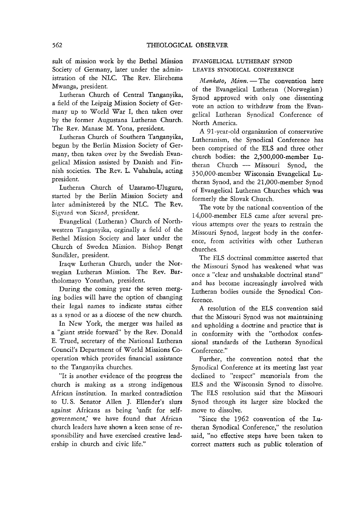sult of mission work by the Bethel Mission Society of Germany, later under the administration of the NLC. The Rev. Elirehema Mwanga, president.

Lutheran Church of Central Tanganyika, a field of the Leipzig Mission Society of Germany up to World War I, then taken over by the former Augustana Lutheran Church. The Rev. Manase M. Yona, president.

Lutheran Church of Southern Tanganyika, begun by the Berlin Mission Society of Germany, then taken over by the Swedish Evangelical Mission assisted by Danish and Finnish societies. The Rev. L. Vuhahula, acting president.

Lutheran Church of Uzaramo-Uluguru, started by the Berlin Mission Society and later administered by the NLC. The Rev. Sigvard von Sicard, president.

Evangelical (Lutheran) Church of Northwestern Tanganyika, orginally a field of the Bethel Mission Society and later under the Church of Sweden Mission. Bishop Bengt Sundkler, president.

Iraqw Lutheran Church, under the Norwegian Lutheran Mission. The Rev. Bartholomayo Yonathan, president.

During the coming year the seven merging bodies will have the option of changing their legal names to indicate status either as a synod or as a diocese of the new church.

In New York, the merger was hailed as a "giant stride forward" by the Rev. Donald E. Trued, secretary of the National Lutheran Council's Department of World Missions Cooperation which provides financial assistance to the Tanganyika churches.

"It is another evidence of the progress the church is making as a strong indigenous African institution. In marked contradiction to U. S. Senator Allen J. Ellender's slurs against Africans as being 'unfit for selfgovernment,' we have found that African church leaders have shown a keen sense of responsibility and have exercised creative leadership in church and civic life."

#### EVANGELICAL LUTHERAN SYNOD LEAVES SYNODICAL CONFERENCE

*Mankato, Minn.* - The convention here of the Evangelical Lutheran (Norwegian) Synod approved with only one dissenting vote an action to withdraw from the Evangelical Lutheran Synodical Conference of North America.

A 91-year-old organization of conservative Lutheranism, the Synodical Conference has been comprised of the ELS and three other church bodies: the 2,500,OOO-member Lutheran Church - Missouri Synod, the 350,OOO-member Wisconsin Evangelical Lutheran Synod, and the 21,OOO-member Synod of Evangelical Lutheran Churches which was formerly the Slovak Church.

The vote by the national convention of the 14,OOO-member ELS came after several previous attempts over the years to restrain the Missouri Synod, largest body in the conference, from activities with other Lutheran churches.

The ELS doctrinal committee asserted that the Missouri Synod has weakened what was once a "clear and unshakable doctrinal stand" and has become increasingly involved with Lutheran bodies outside the Synodical Conference.

A resolution of the ELS convention said that the Missouri Synod was not maintaining and upholding a doctrine and practice that is in conformity with the "orthodox confessional standards of the Lutheran Synodical Conference."

Further, the convention noted that the Synodical Conference at its meeting last year declined to "respect" memorials from the ELS and the Wisconsin Synod to dissolve. The ELS resolution said that the Missouri Synod through its larger size blocked the move to dissolve.

"Since the 1962 convention of the Lutheran Synodical Conference," the resolution said, "no effective steps have been taken to correct matters such as public toleration of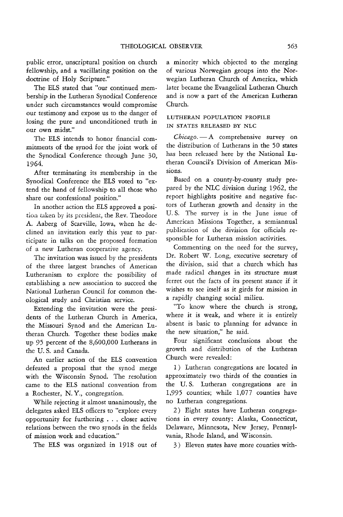public error, unscriptural position on church fellowship, and a vacillating position on the doctrine of Holy Scripture."

The BLS stated that "our continued membership in the Lutheran Synodical Conference under such circumstances would compromise our testimony and expose us to the danger of losing the pure and unconditioned truth in our own midst."

The BLS intends to honor financial commitments of the synod for the joint work of the Synodical Conference through June 30, 1964.

After terminating its membership in the Synodical Conference the ELS voted to "extend the hand of fellowship to all those who share our confessional position."

In another action the ELS approved a posi**tion taken by its president, the Rev. Theodore** A. Aaberg of Scarville, Iowa, when he declined an invitation early this year to participate in talks on the proposed formation of a new Lutheran cooperative agency.

The invitation was issued by the presidents of the three largest branches of American Lutheranism to explore the possibility of establishing a new association to succeed the National Lutheran Council for common theological study and Christian service.

Extending the invitation were the presidents of the Lutheran Church in America, the Missouri Synod and the American Lutheran Church. Together these bodies make up 95 percent of the 8,600,000 Lutherans in the U. S. and Canada.

An earlier action of the BLS convention defeated a proposal that the synod merge with the Wisconsin Synod. The resolution came to the BLS national convention from a Rochester, N. Y., congregation.

While rejecting it almost unanimously, the delegates asked ELS officers to "explore every opportunity for furthering . . . closer active relations between the two synods in the fields of mission work and education."

The BLS was organized in 1918 out of

a minority which objected to the merging of various Norwegian groups into the Norwegian Lutheran Church of America, which later became the Evangelical Lutheran Church and is now a part of the American Lutheran Church.

#### LUTHERAN POPULATION PROFILE IN STATES RELEASED BY NLC

*Chicago.* -A comprehensive survey on the distribution of Lutherans in the 50 states has been released here by the National Lutheran Council's Division of American Missions.

Based on a county-by-county study prepared by the NLC division during 1962, the report highlights positive and negative factors of Lutheran growth and density in the U.S. The survey is in the June issue of American Missions Together, a semiannual publication of the division for officials responsible for Lutheran mission activities.

Commenting on the need for the survey, Dr. Robert W. Long, executive secretary of the division, said that a church which has made radical changes in its structure must ferret out the facts of its present stance if it wishes to see itself as it girds for mission in a rapidly changing social milieu.

"To know where the church is strong, where it is weak, and where it is entirely absent is basic to planning for advance in the new situation," he said.

Four significant conclusions about the growth and distribution of the Lutheran Church were revealed:

1) Lutheran congregations are located in approximately two thirds of the counties in the U. S. Lutheran congregations are in 1,995 counties; while 1,077 counties have no Lutheran congregations.

2) Eight states have Lutheran congregations in every county: Alaska, Connecticut, Delaware, Minnesota, New Jersey, Pennsylvania, Rhode Island, and Wisconsin.

3) Eleven states have more counties with-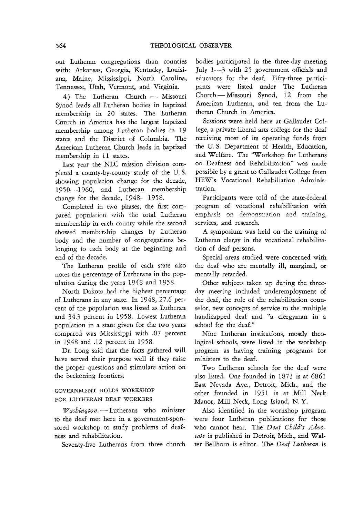out Lutheran congregations than counties with: Arkansas, Georgia, Kentucky, Louisiana, Maine, Mississippi, North Carolina, Tennessee, Utah, Vermont, and Virginia.

4) The Lutheran Church - Missouri Synod leads all Lutheran bodies in baptized membership in 20 states. The Lutheran Church in America has the largest baptized membership among Lutheran bodies in 19 states and the District of Columbia. The American Lutheran Church leads in baptized membership in 11 states.

Last year the NLC mission division completed a county-by-county study of the U. s. showing population change for the decade, 1950-1960, and Lutheran membership change for the decade, 1948-1958.

Completed in two phases, the first compared population with the total Lutheran membership in each county while the second showed membership changes by Lutheran body and the number of congregations belonging to each body at the beginning and end of the decade.

The Lutheran profile of each state also notes the percentage of Lutherans in the population during the years 1948 and 1958.

North Dakota had the highest percentage of Lutherans in any state. In 1948,27.6 percent of the population was listed as Lutheran and 34.3 percent in 1958. Lowest Lutheran population in a state given for the two years compared was Mississippi with .07 percent in 1948 and .12 percent in 1958.

Dr. Long said that the facts gathered will have served their purpose well if they raise the proper questions and stimulate action on the beckoning frontiers.

#### GOVERNMENT HOLDS WORKSHOP FOR LUTHERAN DEAF WORKERS

*Washington.* -- Lutherans who minister to the deaf met here in a government-sponsored workshop to study problems of deafness and rehabilitation.

Seventy-five Lutherans from three church

bodies participated in the three-day meeting July 1-3 with 25 government officials and educators for the deaf. Fifty-three participants were listed under The Lutheran Church - Missouri Synod, 12 from the American Lutheran, and ten from the Lutheran Church in America.

Sessions were held here at Gallaudet College, a private liberal arts college for the deaf receiving most of its operating funds from the U. S. Department of Health, Education, and Welfare. The "Workshop for Lutherans on Deafness and Rehabilitation" was made possible by a grant to Gallaudet College from HEW's Vocational Rehabiliation Administration.

Participants were told of the state-federal program of vocational rehabilitation with emphasis on demonstration and training, services, and research.

A symposium was held on the training of Lutheran clergy in the vocational rehabilitation of deaf persons.

Special areas studied were concerned with the deaf who are mentally ill, marginal, or mentally retarded.

Other subjects taken up during the threeday meeting included underemployment of the deaf, the role of the rehabilitation counselor, new concepts of service to the multiple handicapped deaf and "a clergyman in a school for the deaf."

Nine Lutheran institutions, mostly theological schools, were listed in the workshop program as having training programs for ministers to the deaf.

Two Lutheran schools for the deaf were also listed. One founded in 1873 is at 6861 East Nevada Ave., Detroit, Mich., and the other founded in 1951 is at Mill Neck Manor, Mill Neck, Long Island, N. Y.

Also identified in the workshop program were four Lutheran publications for those who cannot hear. The *Deaf Child's Advocate* is published in Detroit, Mich., and Walter Bellhorn is editor. The *Deaf Lutheran* is